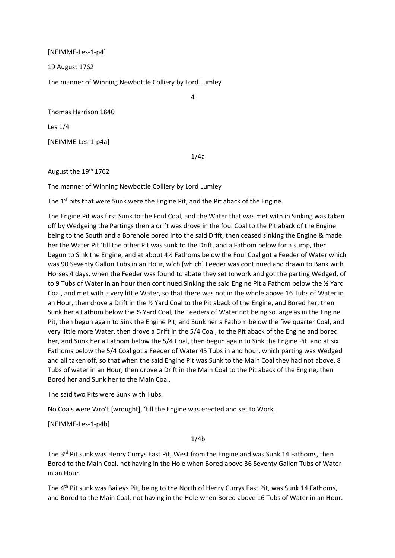[NEIMME-Les-1-p4]

19 August 1762

The manner of Winning Newbottle Colliery by Lord Lumley

Thomas Harrison 1840

Les 1/4

[NEIMME-Les-1-p4a]

1/4a

4

August the 19<sup>th</sup> 1762

The manner of Winning Newbottle Colliery by Lord Lumley

The 1<sup>st</sup> pits that were Sunk were the Engine Pit, and the Pit aback of the Engine.

The Engine Pit was first Sunk to the Foul Coal, and the Water that was met with in Sinking was taken off by Wedgeing the Partings then a drift was drove in the foul Coal to the Pit aback of the Engine being to the South and a Borehole bored into the said Drift, then ceased sinking the Engine & made her the Water Pit 'till the other Pit was sunk to the Drift, and a Fathom below for a sump, then begun to Sink the Engine, and at about 4½ Fathoms below the Foul Coal got a Feeder of Water which was 90 Seventy Gallon Tubs in an Hour, w'ch [which] Feeder was continued and drawn to Bank with Horses 4 days, when the Feeder was found to abate they set to work and got the parting Wedged, of to 9 Tubs of Water in an hour then continued Sinking the said Engine Pit a Fathom below the % Yard Coal, and met with a very little Water, so that there was not in the whole above 16 Tubs of Water in an Hour, then drove a Drift in the ½ Yard Coal to the Pit aback of the Engine, and Bored her, then Sunk her a Fathom below the ½ Yard Coal, the Feeders of Water not being so large as in the Engine Pit, then begun again to Sink the Engine Pit, and Sunk her a Fathom below the five quarter Coal, and very little more Water, then drove a Drift in the 5/4 Coal, to the Pit aback of the Engine and bored her, and Sunk her a Fathom below the 5/4 Coal, then begun again to Sink the Engine Pit, and at six Fathoms below the 5/4 Coal got a Feeder of Water 45 Tubs in and hour, which parting was Wedged and all taken off, so that when the said Engine Pit was Sunk to the Main Coal they had not above, 8 Tubs of water in an Hour, then drove a Drift in the Main Coal to the Pit aback of the Engine, then Bored her and Sunk her to the Main Coal.

The said two Pits were Sunk with Tubs.

No Coals were Wro't [wrought], 'till the Engine was erected and set to Work.

[NEIMME-Les-1-p4b]

## 1/4b

The 3<sup>rd</sup> Pit sunk was Henry Currys East Pit, West from the Engine and was Sunk 14 Fathoms, then Bored to the Main Coal, not having in the Hole when Bored above 36 Seventy Gallon Tubs of Water in an Hour.

The 4<sup>th</sup> Pit sunk was Baileys Pit, being to the North of Henry Currys East Pit, was Sunk 14 Fathoms, and Bored to the Main Coal, not having in the Hole when Bored above 16 Tubs of Water in an Hour.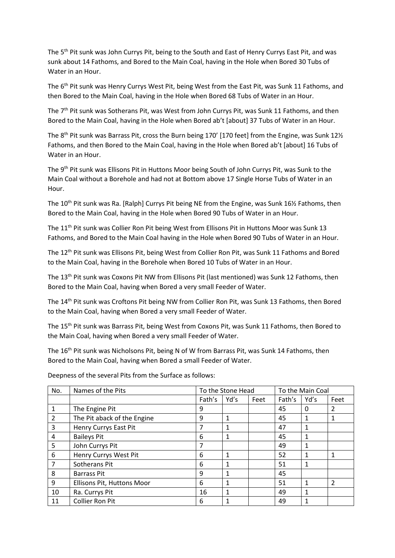The 5<sup>th</sup> Pit sunk was John Currys Pit, being to the South and East of Henry Currys East Pit, and was sunk about 14 Fathoms, and Bored to the Main Coal, having in the Hole when Bored 30 Tubs of Water in an Hour.

The 6<sup>th</sup> Pit sunk was Henry Currys West Pit, being West from the East Pit, was Sunk 11 Fathoms, and then Bored to the Main Coal, having in the Hole when Bored 68 Tubs of Water in an Hour.

The 7<sup>th</sup> Pit sunk was Sotherans Pit, was West from John Currys Pit, was Sunk 11 Fathoms, and then Bored to the Main Coal, having in the Hole when Bored ab't [about] 37 Tubs of Water in an Hour.

The 8<sup>th</sup> Pit sunk was Barrass Pit, cross the Burn being 170' [170 feet] from the Engine, was Sunk 12 $\frac{1}{2}$ Fathoms, and then Bored to the Main Coal, having in the Hole when Bored ab't [about] 16 Tubs of Water in an Hour.

The 9<sup>th</sup> Pit sunk was Ellisons Pit in Huttons Moor being South of John Currys Pit, was Sunk to the Main Coal without a Borehole and had not at Bottom above 17 Single Horse Tubs of Water in an Hour.

The 10<sup>th</sup> Pit sunk was Ra. [Ralph] Currys Pit being NE from the Engine, was Sunk 16½ Fathoms, then Bored to the Main Coal, having in the Hole when Bored 90 Tubs of Water in an Hour.

The 11<sup>th</sup> Pit sunk was Collier Ron Pit being West from Ellisons Pit in Huttons Moor was Sunk 13 Fathoms, and Bored to the Main Coal having in the Hole when Bored 90 Tubs of Water in an Hour.

The 12th Pit sunk was Ellisons Pit, being West from Collier Ron Pit, was Sunk 11 Fathoms and Bored to the Main Coal, having in the Borehole when Bored 10 Tubs of Water in an Hour.

The 13th Pit sunk was Coxons Pit NW from Ellisons Pit (last mentioned) was Sunk 12 Fathoms, then Bored to the Main Coal, having when Bored a very small Feeder of Water.

The 14th Pit sunk was Croftons Pit being NW from Collier Ron Pit, was Sunk 13 Fathoms, then Bored to the Main Coal, having when Bored a very small Feeder of Water.

The 15th Pit sunk was Barrass Pit, being West from Coxons Pit, was Sunk 11 Fathoms, then Bored to the Main Coal, having when Bored a very small Feeder of Water.

The 16<sup>th</sup> Pit sunk was Nicholsons Pit, being N of W from Barrass Pit, was Sunk 14 Fathoms, then Bored to the Main Coal, having when Bored a small Feeder of Water.

| No.            | Names of the Pits           | To the Stone Head |      |      | To the Main Coal |      |               |
|----------------|-----------------------------|-------------------|------|------|------------------|------|---------------|
|                |                             | Fath's            | Yd's | Feet | Fath's           | Yd's | Feet          |
| $\mathbf{1}$   | The Engine Pit              | 9                 |      |      | 45               | 0    | 2             |
| $\overline{2}$ | The Pit aback of the Engine | 9                 | 1    |      | 45               |      |               |
| 3              | Henry Currys East Pit       | 7                 | 1    |      | 47               |      |               |
| 4              | <b>Baileys Pit</b>          | 6                 | 1    |      | 45               |      |               |
| 5              | John Currys Pit             |                   |      |      | 49               |      |               |
| 6              | Henry Currys West Pit       | 6                 |      |      | 52               |      |               |
| 7              | Sotherans Pit               | 6                 |      |      | 51               |      |               |
| 8              | <b>Barrass Pit</b>          | 9                 |      |      | 45               |      |               |
| 9              | Ellisons Pit, Huttons Moor  | 6                 |      |      | 51               |      | $\mathfrak z$ |
| 10             | Ra. Currys Pit              | 16                |      |      | 49               |      |               |
| 11             | <b>Collier Ron Pit</b>      | 6                 |      |      | 49               |      |               |

Deepness of the several Pits from the Surface as follows: